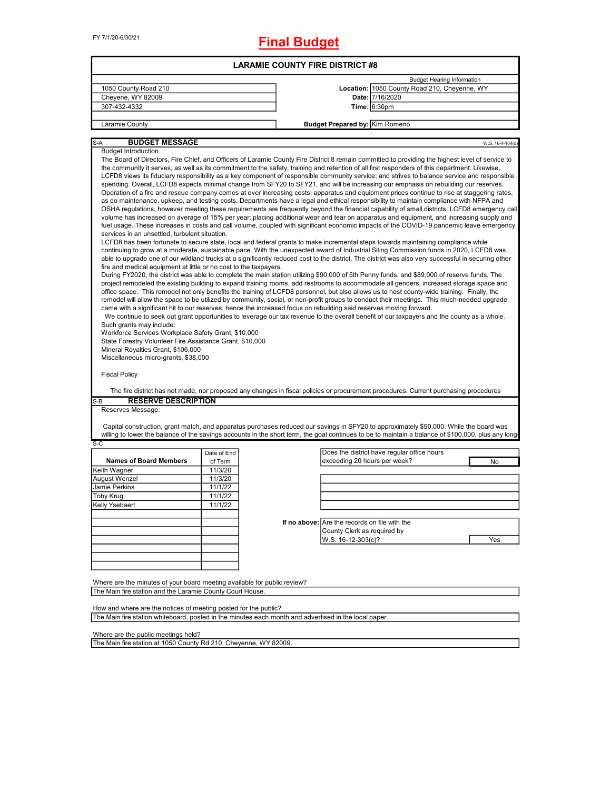# **Final Budget**

|                                                                                                                                                                                                                                                                                                                                                                                                                                                                                                                                                                                                                                                                                                                                                                                                                                                                                                                                                                                                                                                                                                                                                                                                                                                                                                                                                                                                                                                                                                                                                                                                                                                                                                                                                                                                                                                                                                                                                                                                                                                                                                                                                                                                                                                                                                                                                                                                                                                                                                                                                                                                                                                                                                                                                                                                                                                                                                                                                                                                                                                                                                                                                                               |             | <b>LARAMIE COUNTY FIRE DISTRICT #8</b> |                                                                              |                                              |                  |
|-------------------------------------------------------------------------------------------------------------------------------------------------------------------------------------------------------------------------------------------------------------------------------------------------------------------------------------------------------------------------------------------------------------------------------------------------------------------------------------------------------------------------------------------------------------------------------------------------------------------------------------------------------------------------------------------------------------------------------------------------------------------------------------------------------------------------------------------------------------------------------------------------------------------------------------------------------------------------------------------------------------------------------------------------------------------------------------------------------------------------------------------------------------------------------------------------------------------------------------------------------------------------------------------------------------------------------------------------------------------------------------------------------------------------------------------------------------------------------------------------------------------------------------------------------------------------------------------------------------------------------------------------------------------------------------------------------------------------------------------------------------------------------------------------------------------------------------------------------------------------------------------------------------------------------------------------------------------------------------------------------------------------------------------------------------------------------------------------------------------------------------------------------------------------------------------------------------------------------------------------------------------------------------------------------------------------------------------------------------------------------------------------------------------------------------------------------------------------------------------------------------------------------------------------------------------------------------------------------------------------------------------------------------------------------------------------------------------------------------------------------------------------------------------------------------------------------------------------------------------------------------------------------------------------------------------------------------------------------------------------------------------------------------------------------------------------------------------------------------------------------------------------------------------------------|-------------|----------------------------------------|------------------------------------------------------------------------------|----------------------------------------------|------------------|
|                                                                                                                                                                                                                                                                                                                                                                                                                                                                                                                                                                                                                                                                                                                                                                                                                                                                                                                                                                                                                                                                                                                                                                                                                                                                                                                                                                                                                                                                                                                                                                                                                                                                                                                                                                                                                                                                                                                                                                                                                                                                                                                                                                                                                                                                                                                                                                                                                                                                                                                                                                                                                                                                                                                                                                                                                                                                                                                                                                                                                                                                                                                                                                               |             |                                        |                                                                              | <b>Budget Hearing Information</b>            |                  |
| 1050 County Road 210                                                                                                                                                                                                                                                                                                                                                                                                                                                                                                                                                                                                                                                                                                                                                                                                                                                                                                                                                                                                                                                                                                                                                                                                                                                                                                                                                                                                                                                                                                                                                                                                                                                                                                                                                                                                                                                                                                                                                                                                                                                                                                                                                                                                                                                                                                                                                                                                                                                                                                                                                                                                                                                                                                                                                                                                                                                                                                                                                                                                                                                                                                                                                          |             |                                        |                                                                              | Location: 1050 County Road 210, Cheyenne, WY |                  |
| Cheyene, WY 82009                                                                                                                                                                                                                                                                                                                                                                                                                                                                                                                                                                                                                                                                                                                                                                                                                                                                                                                                                                                                                                                                                                                                                                                                                                                                                                                                                                                                                                                                                                                                                                                                                                                                                                                                                                                                                                                                                                                                                                                                                                                                                                                                                                                                                                                                                                                                                                                                                                                                                                                                                                                                                                                                                                                                                                                                                                                                                                                                                                                                                                                                                                                                                             |             |                                        |                                                                              | Date: 7/16/2020                              |                  |
| 307-432-4332                                                                                                                                                                                                                                                                                                                                                                                                                                                                                                                                                                                                                                                                                                                                                                                                                                                                                                                                                                                                                                                                                                                                                                                                                                                                                                                                                                                                                                                                                                                                                                                                                                                                                                                                                                                                                                                                                                                                                                                                                                                                                                                                                                                                                                                                                                                                                                                                                                                                                                                                                                                                                                                                                                                                                                                                                                                                                                                                                                                                                                                                                                                                                                  |             |                                        |                                                                              | Time: 6:30pm                                 |                  |
| Laramie County                                                                                                                                                                                                                                                                                                                                                                                                                                                                                                                                                                                                                                                                                                                                                                                                                                                                                                                                                                                                                                                                                                                                                                                                                                                                                                                                                                                                                                                                                                                                                                                                                                                                                                                                                                                                                                                                                                                                                                                                                                                                                                                                                                                                                                                                                                                                                                                                                                                                                                                                                                                                                                                                                                                                                                                                                                                                                                                                                                                                                                                                                                                                                                |             |                                        | <b>Budget Prepared by: Kim Romeno</b>                                        |                                              |                  |
| <b>BUDGET MESSAGE</b><br>S-A                                                                                                                                                                                                                                                                                                                                                                                                                                                                                                                                                                                                                                                                                                                                                                                                                                                                                                                                                                                                                                                                                                                                                                                                                                                                                                                                                                                                                                                                                                                                                                                                                                                                                                                                                                                                                                                                                                                                                                                                                                                                                                                                                                                                                                                                                                                                                                                                                                                                                                                                                                                                                                                                                                                                                                                                                                                                                                                                                                                                                                                                                                                                                  |             |                                        |                                                                              |                                              | W.S. 16-4-104(d) |
| <b>Budget Introduction</b><br>The Board of Directors, Fire Chief, and Officers of Laramie County Fire District 8 remain committed to providing the highest level of service to<br>the community it serves, as well as its commitment to the safety, training and retention of all first responders of this department. Likewise,<br>LCFD8 views its fiduciary responsibility as a key component of responsible community service; and strives to balance service and responsible<br>spending. Overall, LCFD8 expects minimal change from SFY20 to SFY21, and will be increasing our emphasis on rebuilding our reserves.<br>Operation of a fire and rescue company comes at ever increasing costs; apparatus and equipment prices continue to rise at staggering rates,<br>as do maintenance, upkeep, and testing costs. Departments have a legal and ethical responsibility to maintain compliance with NFPA and<br>OSHA regulations, however meeting these requirements are frequently beyond the financial capability of small districts. LCFD8 emergency call<br>volume has increased on average of 15% per year; placing additional wear and tear on apparatus and equipment, and increasing supply and<br>fuel usage. These increases in costs and call volume, coupled with significant economic impacts of the COVID-19 pandemic leave emergency<br>services in an unsettled, turbulent situation.<br>LCFD8 has been fortunate to secure state, local and federal grants to make incremental steps towards maintaining compliance while<br>continuing to grow at a moderate, sustainable pace. With the unexpected award of Industrial Siting Commission funds in 2020, LCFD8 was<br>able to upgrade one of our wildland trucks at a significantly reduced cost to the district. The district was also very successful in securing other<br>fire and medical equipment at little or no cost to the taxpayers.<br>During FY2020, the district was able to complete the main station utilizing \$90,000 of 5th Penny funds, and \$89,000 of reserve funds. The<br>project remodeled the existing building to expand training rooms, add restrooms to accommodate all genders, increased storage space and<br>office space. This remodel not only benefits the training of LCFD8 personnel, but also allows us to host county-wide training. Finally, the<br>remodel will allow the space to be utilized by community, social, or non-profit groups to conduct their meetings. This much-needed upgrade<br>came with a significant hit to our reserves; hence the increased focus on rebuilding said reserves moving forward.<br>We continue to seek out grant opportunities to leverage our tax revenue to the overall benefit of our taxpayers and the county as a whole.<br>Such grants may include:<br>Workforce Services Workplace Safety Grant, \$10,000<br>State Forestry Volunteer Fire Assistance Grant, \$10,000<br>Mineral Royalties Grant, \$106,000<br>Miscellaneous micro-grants, \$38,000<br><b>Fiscal Policy</b><br>The fire district has not made, nor proposed any changes in fiscal policies or procurement procedures. Current purchasing procedures |             |                                        |                                                                              |                                              |                  |
| <b>RESERVE DESCRIPTION</b><br>S-B                                                                                                                                                                                                                                                                                                                                                                                                                                                                                                                                                                                                                                                                                                                                                                                                                                                                                                                                                                                                                                                                                                                                                                                                                                                                                                                                                                                                                                                                                                                                                                                                                                                                                                                                                                                                                                                                                                                                                                                                                                                                                                                                                                                                                                                                                                                                                                                                                                                                                                                                                                                                                                                                                                                                                                                                                                                                                                                                                                                                                                                                                                                                             |             |                                        |                                                                              |                                              |                  |
| Reserves Message:                                                                                                                                                                                                                                                                                                                                                                                                                                                                                                                                                                                                                                                                                                                                                                                                                                                                                                                                                                                                                                                                                                                                                                                                                                                                                                                                                                                                                                                                                                                                                                                                                                                                                                                                                                                                                                                                                                                                                                                                                                                                                                                                                                                                                                                                                                                                                                                                                                                                                                                                                                                                                                                                                                                                                                                                                                                                                                                                                                                                                                                                                                                                                             |             |                                        |                                                                              |                                              |                  |
| Capital construction, grant match, and apparatus purchases reduced our savings in SFY20 to approximately \$50,000. While the board was<br>willing to lower the balance of the savings accounts in the short term, the goal continues to be to maintain a balance of \$100,000, plus any long-                                                                                                                                                                                                                                                                                                                                                                                                                                                                                                                                                                                                                                                                                                                                                                                                                                                                                                                                                                                                                                                                                                                                                                                                                                                                                                                                                                                                                                                                                                                                                                                                                                                                                                                                                                                                                                                                                                                                                                                                                                                                                                                                                                                                                                                                                                                                                                                                                                                                                                                                                                                                                                                                                                                                                                                                                                                                                 |             |                                        |                                                                              |                                              |                  |
|                                                                                                                                                                                                                                                                                                                                                                                                                                                                                                                                                                                                                                                                                                                                                                                                                                                                                                                                                                                                                                                                                                                                                                                                                                                                                                                                                                                                                                                                                                                                                                                                                                                                                                                                                                                                                                                                                                                                                                                                                                                                                                                                                                                                                                                                                                                                                                                                                                                                                                                                                                                                                                                                                                                                                                                                                                                                                                                                                                                                                                                                                                                                                                               | Date of End |                                        |                                                                              | Does the district have regular office hours  |                  |
| <b>Names of Board Members</b>                                                                                                                                                                                                                                                                                                                                                                                                                                                                                                                                                                                                                                                                                                                                                                                                                                                                                                                                                                                                                                                                                                                                                                                                                                                                                                                                                                                                                                                                                                                                                                                                                                                                                                                                                                                                                                                                                                                                                                                                                                                                                                                                                                                                                                                                                                                                                                                                                                                                                                                                                                                                                                                                                                                                                                                                                                                                                                                                                                                                                                                                                                                                                 | of Term     |                                        | exceeding 20 hours per week?                                                 |                                              | No               |
|                                                                                                                                                                                                                                                                                                                                                                                                                                                                                                                                                                                                                                                                                                                                                                                                                                                                                                                                                                                                                                                                                                                                                                                                                                                                                                                                                                                                                                                                                                                                                                                                                                                                                                                                                                                                                                                                                                                                                                                                                                                                                                                                                                                                                                                                                                                                                                                                                                                                                                                                                                                                                                                                                                                                                                                                                                                                                                                                                                                                                                                                                                                                                                               | 11/3/20     |                                        |                                                                              |                                              |                  |
|                                                                                                                                                                                                                                                                                                                                                                                                                                                                                                                                                                                                                                                                                                                                                                                                                                                                                                                                                                                                                                                                                                                                                                                                                                                                                                                                                                                                                                                                                                                                                                                                                                                                                                                                                                                                                                                                                                                                                                                                                                                                                                                                                                                                                                                                                                                                                                                                                                                                                                                                                                                                                                                                                                                                                                                                                                                                                                                                                                                                                                                                                                                                                                               | 11/3/20     |                                        |                                                                              |                                              |                  |
|                                                                                                                                                                                                                                                                                                                                                                                                                                                                                                                                                                                                                                                                                                                                                                                                                                                                                                                                                                                                                                                                                                                                                                                                                                                                                                                                                                                                                                                                                                                                                                                                                                                                                                                                                                                                                                                                                                                                                                                                                                                                                                                                                                                                                                                                                                                                                                                                                                                                                                                                                                                                                                                                                                                                                                                                                                                                                                                                                                                                                                                                                                                                                                               | 11/1/22     |                                        |                                                                              |                                              |                  |
|                                                                                                                                                                                                                                                                                                                                                                                                                                                                                                                                                                                                                                                                                                                                                                                                                                                                                                                                                                                                                                                                                                                                                                                                                                                                                                                                                                                                                                                                                                                                                                                                                                                                                                                                                                                                                                                                                                                                                                                                                                                                                                                                                                                                                                                                                                                                                                                                                                                                                                                                                                                                                                                                                                                                                                                                                                                                                                                                                                                                                                                                                                                                                                               | 11/1/22     |                                        |                                                                              |                                              |                  |
|                                                                                                                                                                                                                                                                                                                                                                                                                                                                                                                                                                                                                                                                                                                                                                                                                                                                                                                                                                                                                                                                                                                                                                                                                                                                                                                                                                                                                                                                                                                                                                                                                                                                                                                                                                                                                                                                                                                                                                                                                                                                                                                                                                                                                                                                                                                                                                                                                                                                                                                                                                                                                                                                                                                                                                                                                                                                                                                                                                                                                                                                                                                                                                               | 11/1/22     |                                        |                                                                              |                                              |                  |
|                                                                                                                                                                                                                                                                                                                                                                                                                                                                                                                                                                                                                                                                                                                                                                                                                                                                                                                                                                                                                                                                                                                                                                                                                                                                                                                                                                                                                                                                                                                                                                                                                                                                                                                                                                                                                                                                                                                                                                                                                                                                                                                                                                                                                                                                                                                                                                                                                                                                                                                                                                                                                                                                                                                                                                                                                                                                                                                                                                                                                                                                                                                                                                               |             |                                        | If no above: Are the records on file with the<br>County Clerk as required by |                                              |                  |
|                                                                                                                                                                                                                                                                                                                                                                                                                                                                                                                                                                                                                                                                                                                                                                                                                                                                                                                                                                                                                                                                                                                                                                                                                                                                                                                                                                                                                                                                                                                                                                                                                                                                                                                                                                                                                                                                                                                                                                                                                                                                                                                                                                                                                                                                                                                                                                                                                                                                                                                                                                                                                                                                                                                                                                                                                                                                                                                                                                                                                                                                                                                                                                               |             |                                        | W.S. 16-12-303(c)?                                                           |                                              | Yes              |
|                                                                                                                                                                                                                                                                                                                                                                                                                                                                                                                                                                                                                                                                                                                                                                                                                                                                                                                                                                                                                                                                                                                                                                                                                                                                                                                                                                                                                                                                                                                                                                                                                                                                                                                                                                                                                                                                                                                                                                                                                                                                                                                                                                                                                                                                                                                                                                                                                                                                                                                                                                                                                                                                                                                                                                                                                                                                                                                                                                                                                                                                                                                                                                               |             |                                        |                                                                              |                                              |                  |
| $S-C$<br>Keith Wagner<br>August Wenzel<br>Jamie Perkins<br><b>Toby Krug</b><br>Kelly Ysebaert                                                                                                                                                                                                                                                                                                                                                                                                                                                                                                                                                                                                                                                                                                                                                                                                                                                                                                                                                                                                                                                                                                                                                                                                                                                                                                                                                                                                                                                                                                                                                                                                                                                                                                                                                                                                                                                                                                                                                                                                                                                                                                                                                                                                                                                                                                                                                                                                                                                                                                                                                                                                                                                                                                                                                                                                                                                                                                                                                                                                                                                                                 |             |                                        |                                                                              |                                              |                  |
|                                                                                                                                                                                                                                                                                                                                                                                                                                                                                                                                                                                                                                                                                                                                                                                                                                                                                                                                                                                                                                                                                                                                                                                                                                                                                                                                                                                                                                                                                                                                                                                                                                                                                                                                                                                                                                                                                                                                                                                                                                                                                                                                                                                                                                                                                                                                                                                                                                                                                                                                                                                                                                                                                                                                                                                                                                                                                                                                                                                                                                                                                                                                                                               |             |                                        |                                                                              |                                              |                  |
|                                                                                                                                                                                                                                                                                                                                                                                                                                                                                                                                                                                                                                                                                                                                                                                                                                                                                                                                                                                                                                                                                                                                                                                                                                                                                                                                                                                                                                                                                                                                                                                                                                                                                                                                                                                                                                                                                                                                                                                                                                                                                                                                                                                                                                                                                                                                                                                                                                                                                                                                                                                                                                                                                                                                                                                                                                                                                                                                                                                                                                                                                                                                                                               |             |                                        |                                                                              |                                              |                  |
| Where are the minutes of your board meeting available for public review?<br>The Main fire station and the Laramie County Court House.                                                                                                                                                                                                                                                                                                                                                                                                                                                                                                                                                                                                                                                                                                                                                                                                                                                                                                                                                                                                                                                                                                                                                                                                                                                                                                                                                                                                                                                                                                                                                                                                                                                                                                                                                                                                                                                                                                                                                                                                                                                                                                                                                                                                                                                                                                                                                                                                                                                                                                                                                                                                                                                                                                                                                                                                                                                                                                                                                                                                                                         |             |                                        |                                                                              |                                              |                  |

The Main fire station whiteboard, posted in the minutes each month and advertised in the local paper.

Where are the public meetings held?

The Main fire station at 1050 County Rd 210, Cheyenne, WY 82009.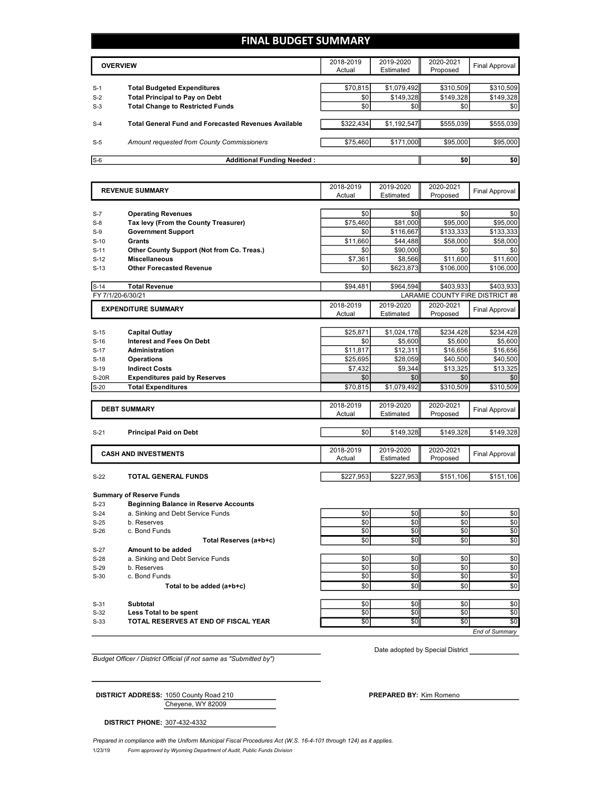## **FINAL BUDGET SUMMARY**

|       | <b>OVERVIEW</b>                                             | 2018-2019<br>Actual | 2019-2020<br>Estimated | 2020-2021<br>Proposed | Final Approval |
|-------|-------------------------------------------------------------|---------------------|------------------------|-----------------------|----------------|
| $S-1$ | <b>Total Budgeted Expenditures</b>                          | \$70,815            | \$1,079,492            | \$310,509             | \$310,509      |
| $S-2$ | <b>Total Principal to Pay on Debt</b>                       | \$0                 | \$149.328              | \$149,328             | \$149,328      |
| $S-3$ | <b>Total Change to Restricted Funds</b>                     | \$0                 | \$0                    | \$0 <sub>1</sub>      | \$0            |
|       |                                                             |                     |                        |                       |                |
| $S-4$ | <b>Total General Fund and Forecasted Revenues Available</b> | \$322,434           | \$1,192,547            | \$555,039             | \$555,039      |
|       |                                                             |                     |                        |                       |                |
| $S-5$ | Amount requested from County Commissioners                  | \$75,460            | \$171,000              | \$95,000              | \$95,000       |
|       |                                                             |                     |                        |                       |                |
| $S-6$ | <b>Additional Funding Needed:</b>                           |                     |                        | \$0                   | \$0            |

|                             | <b>REVENUE SUMMARY</b>                           | 2018-2019<br>Actual | 2019-2020<br>Estimated | 2020-2021<br>Proposed | <b>Final Approval</b>           |
|-----------------------------|--------------------------------------------------|---------------------|------------------------|-----------------------|---------------------------------|
|                             |                                                  |                     |                        |                       |                                 |
| $S-7$                       | <b>Operating Revenues</b>                        | \$0                 | \$0                    | \$0                   | \$0                             |
| $S-8$                       | Tax levy (From the County Treasurer)             | \$75.460            | \$81,000               | \$95,000              | \$95,000                        |
| $S-9$                       | <b>Government Support</b>                        | \$0                 | \$116,667              | \$133,333             | \$133,333                       |
| $S-10$                      | Grants                                           | \$11,660            | \$44,488               | \$58,000              | \$58,000                        |
| $S-11$                      | Other County Support (Not from Co. Treas.)       | \$0                 | \$90,000               | \$0                   | \$0                             |
| $S-12$                      | <b>Miscellaneous</b>                             | \$7,361             | \$8.566                | \$11.600              | \$11,600                        |
| $S-13$                      | <b>Other Forecasted Revenue</b>                  | \$0                 | \$623,873              | \$106,000             | \$106,000                       |
|                             | <b>Total Revenue</b>                             | \$94,481            | \$964,594              | \$403,933             | \$403.933                       |
| $S-14$<br>FY 7/1/20-6/30/21 |                                                  |                     |                        |                       | LARAMIE COUNTY FIRE DISTRICT #8 |
|                             |                                                  |                     |                        |                       |                                 |
|                             | <b>EXPENDITURE SUMMARY</b>                       | 2018-2019           | 2019-2020<br>Estimated | 2020-2021             | <b>Final Approval</b>           |
|                             |                                                  | Actual              |                        | Proposed              |                                 |
| $S-15$                      | <b>Capital Outlay</b>                            | \$25,871            | \$1,024,178            | \$234,428             | \$234,428                       |
| $S-16$                      | <b>Interest and Fees On Debt</b>                 | \$0                 | \$5,600                | \$5,600               | \$5,600                         |
| $S-17$                      | <b>Administration</b>                            | \$11,817            | \$12,311               | \$16,656              | \$16,656                        |
| $S-18$                      | <b>Operations</b>                                | \$25,695            | \$28,059               | \$40,500              | \$40,500                        |
| $S-19$                      | <b>Indirect Costs</b>                            | \$7,432             | \$9,344                | \$13,325              | \$13,325                        |
|                             |                                                  | \$0                 |                        |                       |                                 |
| <b>S-20R</b>                | <b>Expenditures paid by Reserves</b>             |                     | \$0                    | \$0                   | \$0                             |
| $S-20$                      | <b>Total Expenditures</b>                        | \$70,815            | \$1,079,492            | \$310,509             | \$310,509                       |
|                             |                                                  | 2018-2019           | 2019-2020              | 2020-2021             |                                 |
|                             | <b>DEBT SUMMARY</b>                              | Actual              | Estimated              | Proposed              | <b>Final Approval</b>           |
|                             |                                                  |                     |                        |                       |                                 |
| $S-21$                      | <b>Principal Paid on Debt</b>                    | \$0                 | \$149,328              | \$149,328             | \$149,328                       |
|                             |                                                  |                     |                        |                       |                                 |
|                             | <b>CASH AND INVESTMENTS</b>                      | 2018-2019           | 2019-2020              | 2020-2021             |                                 |
|                             |                                                  | Actual              | Estimated              | Proposed              | <b>Final Approval</b>           |
|                             |                                                  |                     |                        |                       |                                 |
| $S-22$                      | <b>TOTAL GENERAL FUNDS</b>                       | \$227,953           | \$227,953              | \$151,106             | \$151,106                       |
|                             | <b>Summary of Reserve Funds</b>                  |                     |                        |                       |                                 |
| $S-23$                      | <b>Beginning Balance in Reserve Accounts</b>     |                     |                        |                       |                                 |
| $S-24$                      | a. Sinking and Debt Service Funds                | \$0                 | \$0                    | \$0                   | \$0                             |
| $S-25$                      | b. Reserves                                      | \$0                 | \$0                    | \$0                   | \$0                             |
| $S-26$                      | c. Bond Funds                                    | \$0                 | \$0                    | \$0                   | \$0                             |
|                             | Total Reserves (a+b+c)                           | \$0                 | \$0                    | \$0                   | \$0                             |
|                             |                                                  |                     |                        |                       |                                 |
| $S-27$                      | Amount to be added                               |                     | \$0                    |                       |                                 |
| $S-28$<br>$S-29$            | a. Sinking and Debt Service Funds<br>b. Reserves | \$0<br>\$0          | \$0                    | \$0<br>\$0            | \$0<br>\$0                      |
| $S-30$                      | c. Bond Funds                                    | \$0                 | \$0                    | \$0                   | \$0                             |
|                             |                                                  |                     |                        |                       |                                 |
|                             | Total to be added (a+b+c)                        | \$0                 | \$0                    | \$0                   | \$0                             |
| $S-31$                      | <b>Subtotal</b>                                  | \$0                 | \$0                    | \$0                   | \$0                             |
| $S-32$                      | Less Total to be spent                           | \$0                 | \$0                    | \$0                   | \$0                             |
| $S-33$                      | TOTAL RESERVES AT END OF FISCAL YEAR             | \$0                 | \$0                    | \$0                   | \$0                             |
|                             |                                                  |                     |                        |                       |                                 |

*Budget Officer / District Official (if not same as "Submitted by")*

Date adopted by Special District

Cheyene, WY 82009 **DISTRICT ADDRESS:** 1050 County Road 210 **PREPARED BY:** Kim Romeno

**DISTRICT PHONE:** 307-432-4332

1/23/19 *Form approved by Wyoming Department of Audit, Public Funds Division Prepared in compliance with the Uniform Municipal Fiscal Procedures Act (W.S. 16-4-101 through 124) as it applies.*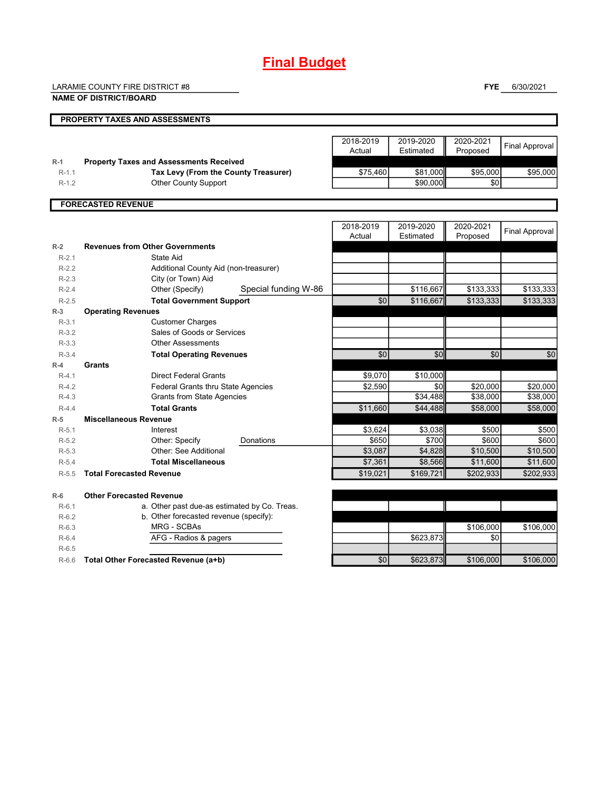# **Final Budget**

LARAMIE COUNTY FIRE DISTRICT #8

**FYE** 6/30/2021

|                    | <b>NAME OF DISTRICT/BOARD</b>                                           |                      |                     |                        |                       |                       |
|--------------------|-------------------------------------------------------------------------|----------------------|---------------------|------------------------|-----------------------|-----------------------|
|                    | <b>PROPERTY TAXES AND ASSESSMENTS</b>                                   |                      |                     |                        |                       |                       |
|                    |                                                                         |                      | 2018-2019<br>Actual | 2019-2020<br>Estimated | 2020-2021<br>Proposed | <b>Final Approval</b> |
| $R-1$              | <b>Property Taxes and Assessments Received</b>                          |                      |                     |                        |                       |                       |
| $R-1.1$            | Tax Levy (From the County Treasurer)                                    |                      | \$75,460            | \$81.000               | \$95,000<br>\$0       | \$95,000              |
| $R-1.2$            | <b>Other County Support</b>                                             |                      |                     | \$90,000               |                       |                       |
|                    | <b>FORECASTED REVENUE</b>                                               |                      |                     |                        |                       |                       |
|                    |                                                                         |                      | 2018-2019<br>Actual | 2019-2020<br>Estimated | 2020-2021             | <b>Final Approval</b> |
| $R-2$              | <b>Revenues from Other Governments</b>                                  |                      |                     |                        | Proposed              |                       |
| $R-2.1$            | <b>State Aid</b>                                                        |                      |                     |                        |                       |                       |
| $R-2.2$            | Additional County Aid (non-treasurer)                                   |                      |                     |                        |                       |                       |
| $R-2.3$            | City (or Town) Aid                                                      |                      |                     |                        |                       |                       |
| $R-2.4$            | Other (Specify)                                                         | Special funding W-86 |                     | \$116,667              | \$133,333             | \$133,333             |
| $R-2.5$            | <b>Total Government Support</b>                                         |                      | \$0                 | \$116,667              | \$133,333             | \$133,333             |
| $R-3$              | <b>Operating Revenues</b>                                               |                      |                     |                        |                       |                       |
| $R-3.1$            | <b>Customer Charges</b>                                                 |                      |                     |                        |                       |                       |
| $R-3.2$            | Sales of Goods or Services                                              |                      |                     |                        |                       |                       |
| $R-3.3$            | <b>Other Assessments</b>                                                |                      |                     |                        |                       |                       |
| $R-3.4$            | <b>Total Operating Revenues</b>                                         |                      | \$0                 | \$0                    | \$0                   | \$0                   |
| $R-4$              | Grants                                                                  |                      |                     |                        |                       |                       |
| $R-4.1$            | <b>Direct Federal Grants</b>                                            |                      | \$9.070             | \$10.000<br>\$0        |                       |                       |
| $R-4.2$<br>$R-4.3$ | <b>Federal Grants thru State Agencies</b><br>Grants from State Agencies |                      | \$2,590             | \$34,488               | \$20,000<br>\$38,000  | \$20,000<br>\$38,000  |
| $R-4.4$            | <b>Total Grants</b>                                                     |                      | \$11,660            | \$44,488               | \$58,000              | \$58,000              |
| $R-5$              | <b>Miscellaneous Revenue</b>                                            |                      |                     |                        |                       |                       |
| $R-5.1$            | Interest                                                                |                      | \$3,624             | \$3,038                | \$500                 | \$500                 |
| $R-5.2$            | Other: Specify<br>Donations                                             |                      | \$650               | \$700                  | \$600                 | \$600                 |
| $R-5.3$            | Other: See Additional                                                   |                      | \$3,087             | \$4,828                | \$10,500              | \$10,500              |
| $R-5.4$            | <b>Total Miscellaneous</b>                                              |                      | \$7,361             | \$8,566                | \$11,600              | \$11,600              |
| $R-5.5$            | <b>Total Forecasted Revenue</b>                                         |                      | \$19,021            | \$169,721              | \$202,933             | \$202,933             |
| $R-6$              | <b>Other Forecasted Revenue</b>                                         |                      |                     |                        |                       |                       |
| $R-6.1$            | a. Other past due-as estimated by Co. Treas.                            |                      |                     |                        |                       |                       |
| $R-6.2$            | b. Other forecasted revenue (specify):                                  |                      |                     |                        |                       |                       |
| $R-6.3$            | <b>MRG - SCBAs</b>                                                      |                      |                     |                        | \$106,000             | \$106,000             |
| $R-6.4$            | AFG - Radios & pagers                                                   |                      |                     | \$623,873              | \$0                   |                       |
| $R-6.5$            |                                                                         |                      |                     |                        |                       |                       |
| $R-6.6$            | Total Other Forecasted Revenue (a+b)                                    |                      | \$0                 | \$623,873              | \$106,000             | \$106.000             |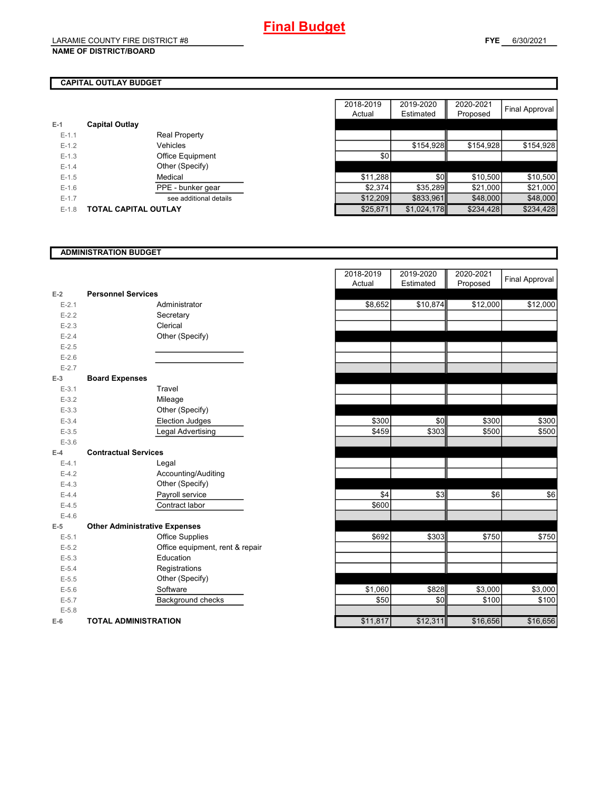#### **NAME OF DISTRICT/BOARD**

#### **FYE** 6/30/2021

## **CAPITAL OUTLAY BUDGET**

|           |                         | .        |
|-----------|-------------------------|----------|
| $E-1$     | <b>Capital Outlay</b>   |          |
| $E - 1.1$ | <b>Real Property</b>    |          |
| $E - 1.2$ | Vehicles                |          |
| $E-1.3$   | <b>Office Equipment</b> | \$0      |
| $E - 1.4$ | Other (Specify)         |          |
| $E - 1.5$ | Medical                 | \$11,288 |
| $E - 1.6$ | PPE - bunker gear       | \$2.374  |
| $E - 1.7$ | see additional details  | \$12,209 |
| $E - 1.8$ | TOTAL CAPITAL OUTLAY    | \$25.871 |

|         |                             | 2018-2019 | 2019-2020   | 2020-2021 |                |
|---------|-----------------------------|-----------|-------------|-----------|----------------|
|         |                             | Actual    | Estimated   | Proposed  | Final Approval |
|         | <b>Capital Outlay</b>       |           |             |           |                |
| $E-1.1$ | <b>Real Property</b>        |           |             |           |                |
| $E-1.2$ | Vehicles                    |           | \$154,928   | \$154,928 | \$154,928      |
| $E-1.3$ | Office Equipment            | \$0       |             |           |                |
| $E-1.4$ | Other (Specify)             |           |             |           |                |
| $E-1.5$ | Medical                     | \$11,288  | \$0         | \$10,500  | \$10,500       |
| $E-1.6$ | PPE - bunker gear           | \$2,374   | \$35,289    | \$21,000  | \$21,000       |
| $E-1.7$ | see additional details      | \$12,209  | \$833,961   | \$48,000  | \$48,000       |
| $E-1.8$ | <b>TOTAL CAPITAL OUTLAY</b> | \$25,871  | \$1,024,178 | \$234,428 | \$234,428      |

#### **ADMINISTRATION BUDGET**

|           |                                      |                                 | nuuai    |
|-----------|--------------------------------------|---------------------------------|----------|
| $E-2$     | <b>Personnel Services</b>            |                                 |          |
| $E - 2.1$ |                                      | Administrator                   | \$8,652  |
| $E-2.2$   |                                      | Secretary                       |          |
| $E - 2.3$ |                                      | Clerical                        |          |
| $E - 2.4$ |                                      | Other (Specify)                 |          |
| $E-2.5$   |                                      |                                 |          |
| $E-2.6$   |                                      |                                 |          |
| $E - 2.7$ |                                      |                                 |          |
| $E-3$     | <b>Board Expenses</b>                |                                 |          |
| $E - 3.1$ |                                      | Travel                          |          |
| $E - 3.2$ |                                      | Mileage                         |          |
| $E - 3.3$ |                                      | Other (Specify)                 |          |
| $E - 3.4$ |                                      | <b>Election Judges</b>          | \$300    |
| $E - 3.5$ |                                      | Legal Advertising               | \$459    |
| $E - 3.6$ |                                      |                                 |          |
| $E-4$     | <b>Contractual Services</b>          |                                 |          |
| $E - 4.1$ |                                      | Legal                           |          |
| $E-4.2$   |                                      | Accounting/Auditing             |          |
| $E-4.3$   |                                      | Other (Specify)                 |          |
| $E-4.4$   |                                      | Payroll service                 | \$4      |
| $E-4.5$   |                                      | Contract labor                  | \$600    |
| $E-4.6$   |                                      |                                 |          |
| $E-5$     | <b>Other Administrative Expenses</b> |                                 |          |
| $E - 5.1$ |                                      | <b>Office Supplies</b>          | \$692    |
| $E - 5.2$ |                                      | Office equipment, rent & repair |          |
| $E - 5.3$ |                                      | Education                       |          |
| $E - 5.4$ |                                      | Registrations                   |          |
| $E - 5.5$ |                                      | Other (Specify)                 |          |
| $E - 5.6$ |                                      | Software                        | \$1,060  |
| $E - 5.7$ |                                      | Background checks               | \$50     |
| $E - 5.8$ |                                      |                                 |          |
| $E-6$     | <b>TOTAL ADMINISTRATION</b>          |                                 | \$11,817 |

|                          |                                      | 2018-2019<br>Actual | 2019-2020<br>Estimated | 2020-2021<br>Proposed | Final Approval |
|--------------------------|--------------------------------------|---------------------|------------------------|-----------------------|----------------|
| Ż                        | <b>Personnel Services</b>            |                     |                        |                       |                |
| $E - 2.1$                | Administrator                        | \$8,652             | \$10,874               | \$12,000              | \$12,000       |
| $E - 2.2$                | Secretary                            |                     |                        |                       |                |
| $E - 2.3$                | Clerical                             |                     |                        |                       |                |
| $E - 2.4$                | Other (Specify)                      |                     |                        |                       |                |
| $E-2.5$                  |                                      |                     |                        |                       |                |
| $E - 2.6$                |                                      |                     |                        |                       |                |
| $E - 2.7$                |                                      |                     |                        |                       |                |
| $\overline{\phantom{a}}$ | <b>Board Expenses</b>                |                     |                        |                       |                |
| $E-3.1$                  | Travel                               |                     |                        |                       |                |
| $E - 3.2$                | Mileage                              |                     |                        |                       |                |
| $E - 3.3$                | Other (Specify)                      |                     |                        |                       |                |
| $E - 3.4$                | <b>Election Judges</b>               | \$300               | \$0                    | \$300                 | \$300          |
| $E-3.5$                  | Legal Advertising                    | \$459               | \$303                  | \$500                 | \$500          |
| $E - 3.6$                |                                      |                     |                        |                       |                |
| ı.                       | <b>Contractual Services</b>          |                     |                        |                       |                |
| $E - 4.1$                | Legal                                |                     |                        |                       |                |
| $E-4.2$                  | Accounting/Auditing                  |                     |                        |                       |                |
| $E - 4.3$                | Other (Specify)                      |                     |                        |                       |                |
| $E - 4.4$                | Payroll service                      | \$4                 | \$3                    | \$6                   | \$6            |
| $E - 4.5$                | Contract labor                       | \$600               |                        |                       |                |
| $E - 4.6$                |                                      |                     |                        |                       |                |
| 5                        | <b>Other Administrative Expenses</b> |                     |                        |                       |                |
| $E - 5.1$                | <b>Office Supplies</b>               | \$692               | \$303                  | \$750                 | \$750          |
| $E - 5.2$                | Office equipment, rent & repair      |                     |                        |                       |                |
| $E - 5.3$                | Education                            |                     |                        |                       |                |
| $E - 5.4$                | Registrations                        |                     |                        |                       |                |
| $E - 5.5$                | Other (Specify)                      |                     |                        |                       |                |
| $E - 5.6$                | Software                             | \$1,060             | \$828                  | \$3,000               | \$3,000        |
| $E - 5.7$                | Background checks                    | \$50                | \$0                    | \$100                 | \$100          |
| $E - 5.8$                |                                      |                     |                        |                       |                |
| ŝ                        | <b>TOTAL ADMINISTRATION</b>          | \$11,817            | \$12,311               | \$16,656              | \$16,656       |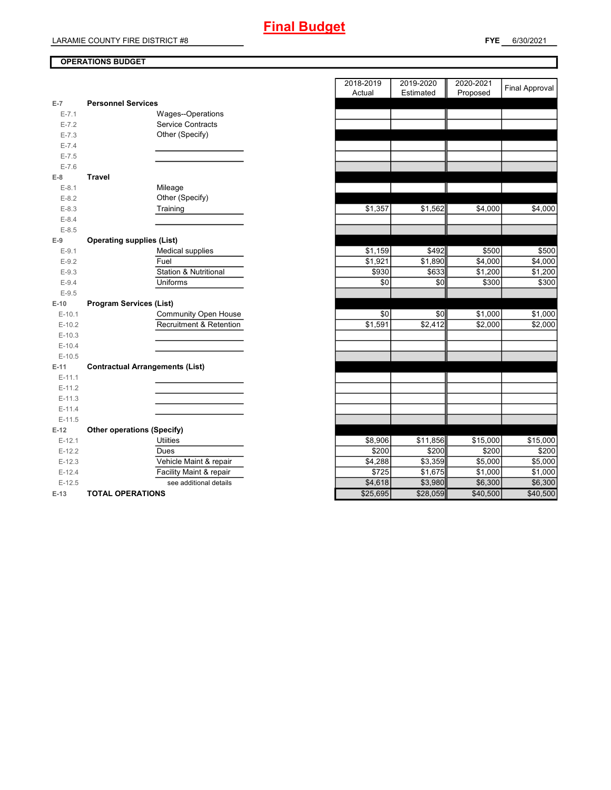### **OPERATIONS BUDGET**

| E-7       | <b>Personnel Services</b>              |
|-----------|----------------------------------------|
| $E - 7.1$ | Wages--Operations                      |
| $E - 7.2$ | <b>Service Contracts</b>               |
| $E - 7.3$ | Other (Specify)                        |
| $E - 7.4$ |                                        |
| $E - 7.5$ |                                        |
| $E - 7.6$ |                                        |
| E-8       | <b>Travel</b>                          |
| $E-8.1$   | Mileage                                |
| $E-8.2$   | Other (Specify)                        |
| $E - 8.3$ | Training                               |
| $E - 8.4$ |                                        |
| $E - 8.5$ |                                        |
| $E-9$     | <b>Operating supplies (List)</b>       |
| $E-9.1$   | <b>Medical supplies</b>                |
| $E-9.2$   | Fuel                                   |
| $E-9.3$   | <b>Station &amp; Nutritional</b>       |
| $E - 9.4$ | Uniforms                               |
| $E-9.5$   |                                        |
| $E-10$    | <b>Program Services (List)</b>         |
|           |                                        |
| $E-10.1$  | Community Open House                   |
| $E-10.2$  | <b>Recruitment &amp; Retention</b>     |
| $E-10.3$  |                                        |
| $E-10.4$  |                                        |
| $E-10.5$  |                                        |
| $E-11$    | <b>Contractual Arrangements (List)</b> |
| $E-11.1$  |                                        |
| $E-11.2$  |                                        |
| $E-11.3$  |                                        |
| $E-11.4$  |                                        |
| $E-11.5$  |                                        |
| $E-12$    | <b>Other operations (Specify)</b>      |
| $E-12.1$  | <b>Utiities</b>                        |
| $E-12.2$  | Dues                                   |
| $E-12.3$  | Vehicle Maint & repair                 |
| $E-12.4$  | Facility Maint & repair                |
| $E-12.5$  | see additional details                 |

|                |                                        | 2018-2019<br>Actual | 2019-2020<br>Estimated | 2020-2021<br>Proposed | <b>Final Approval</b> |
|----------------|----------------------------------------|---------------------|------------------------|-----------------------|-----------------------|
| $\overline{7}$ | <b>Personnel Services</b>              |                     |                        |                       |                       |
| $E - 7.1$      | Wages--Operations                      |                     |                        |                       |                       |
| $E - 7.2$      | <b>Service Contracts</b>               |                     |                        |                       |                       |
| $E - 7.3$      | Other (Specify)                        |                     |                        |                       |                       |
| $E - 7.4$      |                                        |                     |                        |                       |                       |
| $E - 7.5$      |                                        |                     |                        |                       |                       |
| $E - 7.6$      |                                        |                     |                        |                       |                       |
| 8              | <b>Travel</b>                          |                     |                        |                       |                       |
| $E - 8.1$      | Mileage                                |                     |                        |                       |                       |
| $E-8.2$        | Other (Specify)                        |                     |                        |                       |                       |
| $E-8.3$        | Training                               | \$1,357             | \$1,562                | \$4,000               | \$4,000               |
| $E - 8.4$      |                                        |                     |                        |                       |                       |
| $E - 8.5$      |                                        |                     |                        |                       |                       |
| 9              | <b>Operating supplies (List)</b>       |                     |                        |                       |                       |
| $E-9.1$        | Medical supplies                       | \$1,159             | \$492                  | \$500                 | \$500                 |
| $E - 9.2$      | Fuel                                   | \$1,921             | \$1,890                | \$4,000               | \$4,000               |
| $E-9.3$        | Station & Nutritional                  | \$930               | \$633                  | \$1,200               | \$1,200               |
| $E-9.4$        | <b>Uniforms</b>                        | \$0                 | \$0                    | \$300                 | \$300                 |
| $E - 9.5$      |                                        |                     |                        |                       |                       |
| $-10$          | <b>Program Services (List)</b>         |                     |                        |                       |                       |
| $E-10.1$       | Community Open House                   | \$0                 | \$0                    | \$1,000               | \$1,000               |
| $E-10.2$       | Recruitment & Retention                | \$1,591             | \$2,412                | \$2,000               | \$2,000               |
| $E-10.3$       |                                        |                     |                        |                       |                       |
| $E-10.4$       |                                        |                     |                        |                       |                       |
| $E-10.5$       |                                        |                     |                        |                       |                       |
| 41.            | <b>Contractual Arrangements (List)</b> |                     |                        |                       |                       |
| $E-11.1$       |                                        |                     |                        |                       |                       |
| $E-11.2$       |                                        |                     |                        |                       |                       |
| $E-11.3$       |                                        |                     |                        |                       |                       |
| $E-11.4$       |                                        |                     |                        |                       |                       |
| $E-11.5$       |                                        |                     |                        |                       |                       |
| 12             | <b>Other operations (Specify)</b>      |                     |                        |                       |                       |
| $E-12.1$       | <b>Utiities</b>                        | \$8,906             | \$11,856               | \$15,000              | \$15,000              |
| $E-12.2$       | Dues                                   | \$200               | \$200                  | \$200                 | \$200                 |
| $E-12.3$       | Vehicle Maint & repair                 | \$4,288             | \$3,359                | \$5,000               | \$5,000               |
| $E-12.4$       | Facility Maint & repair                | \$725               | \$1,675                | \$1,000               | \$1,000               |
| $E-12.5$       | see additional details                 | \$4,618             | \$3,980                | \$6,300               | \$6,300               |
| $-13$          | <b>TOTAL OPERATIONS</b>                | \$25,695            | \$28,059               | \$40,500              | \$40,500              |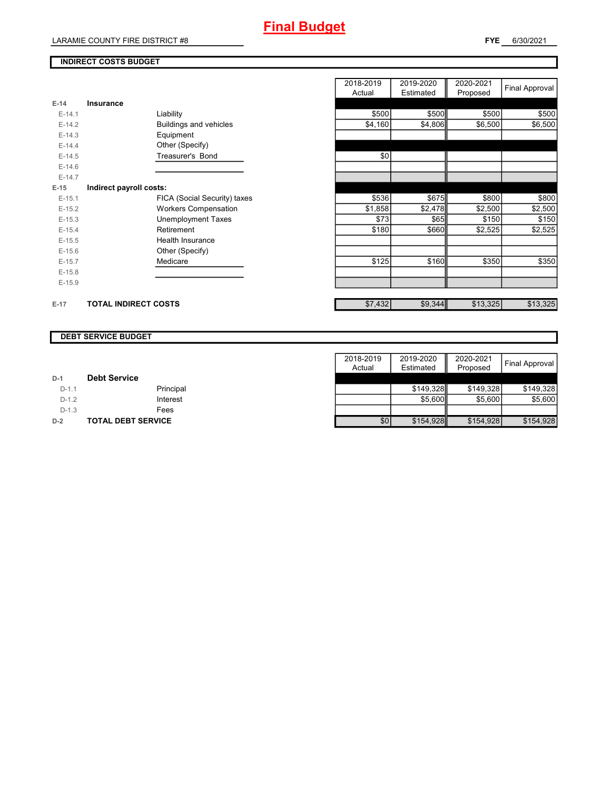### **INDIRECT COSTS BUDGET**

| $E-14$<br>Insurance<br>\$500<br>\$500<br>\$500<br>Liability<br>$E-14.1$<br>\$4,160<br>\$4,806<br>\$6,500<br>Buildings and vehicles<br>$E-14.2$<br>$E-14.3$<br>Equipment<br>Other (Specify)<br>$E-14.4$<br>Treasurer's Bond<br>\$0<br>$E-14.5$<br>$E-14.6$<br>$E-14.7$<br>$E-15$<br>Indirect payroll costs:<br>\$675<br>\$800<br>\$536<br>FICA (Social Security) taxes<br>$E-15.1$<br>\$2,500<br><b>Workers Compensation</b><br>\$1,858<br>\$2,478<br>$E-15.2$<br>\$73<br><b>Unemployment Taxes</b><br>\$65<br>\$150<br>$E-15.3$<br>\$180<br>\$660<br>\$2,525<br>Retirement<br>$E-15.4$<br><b>Health Insurance</b><br>$E-15.5$<br>Other (Specify)<br>$E-15.6$<br>\$125<br>\$160<br>\$350<br>Medicare<br>$E-15.7$<br>$E-15.8$<br>$E-15.9$ |  | 2018-2019<br>Actual | 2019-2020<br>Estimated | 2020-2021<br>Proposed | <b>Final Approval</b> |
|-----------------------------------------------------------------------------------------------------------------------------------------------------------------------------------------------------------------------------------------------------------------------------------------------------------------------------------------------------------------------------------------------------------------------------------------------------------------------------------------------------------------------------------------------------------------------------------------------------------------------------------------------------------------------------------------------------------------------------------------|--|---------------------|------------------------|-----------------------|-----------------------|
|                                                                                                                                                                                                                                                                                                                                                                                                                                                                                                                                                                                                                                                                                                                                         |  |                     |                        |                       |                       |
|                                                                                                                                                                                                                                                                                                                                                                                                                                                                                                                                                                                                                                                                                                                                         |  |                     |                        |                       | \$500                 |
|                                                                                                                                                                                                                                                                                                                                                                                                                                                                                                                                                                                                                                                                                                                                         |  |                     |                        |                       | \$6,500               |
|                                                                                                                                                                                                                                                                                                                                                                                                                                                                                                                                                                                                                                                                                                                                         |  |                     |                        |                       |                       |
|                                                                                                                                                                                                                                                                                                                                                                                                                                                                                                                                                                                                                                                                                                                                         |  |                     |                        |                       |                       |
|                                                                                                                                                                                                                                                                                                                                                                                                                                                                                                                                                                                                                                                                                                                                         |  |                     |                        |                       |                       |
|                                                                                                                                                                                                                                                                                                                                                                                                                                                                                                                                                                                                                                                                                                                                         |  |                     |                        |                       |                       |
|                                                                                                                                                                                                                                                                                                                                                                                                                                                                                                                                                                                                                                                                                                                                         |  |                     |                        |                       |                       |
|                                                                                                                                                                                                                                                                                                                                                                                                                                                                                                                                                                                                                                                                                                                                         |  |                     |                        |                       |                       |
|                                                                                                                                                                                                                                                                                                                                                                                                                                                                                                                                                                                                                                                                                                                                         |  |                     |                        |                       | \$800                 |
|                                                                                                                                                                                                                                                                                                                                                                                                                                                                                                                                                                                                                                                                                                                                         |  |                     |                        |                       | \$2,500               |
|                                                                                                                                                                                                                                                                                                                                                                                                                                                                                                                                                                                                                                                                                                                                         |  |                     |                        |                       | \$150                 |
|                                                                                                                                                                                                                                                                                                                                                                                                                                                                                                                                                                                                                                                                                                                                         |  |                     |                        |                       | \$2,525               |
|                                                                                                                                                                                                                                                                                                                                                                                                                                                                                                                                                                                                                                                                                                                                         |  |                     |                        |                       |                       |
|                                                                                                                                                                                                                                                                                                                                                                                                                                                                                                                                                                                                                                                                                                                                         |  |                     |                        |                       |                       |
|                                                                                                                                                                                                                                                                                                                                                                                                                                                                                                                                                                                                                                                                                                                                         |  |                     |                        |                       | \$350                 |
|                                                                                                                                                                                                                                                                                                                                                                                                                                                                                                                                                                                                                                                                                                                                         |  |                     |                        |                       |                       |
|                                                                                                                                                                                                                                                                                                                                                                                                                                                                                                                                                                                                                                                                                                                                         |  |                     |                        |                       |                       |
| \$13,325<br>\$7,432<br>\$9,344<br><b>TOTAL INDIRECT COSTS</b><br>$E-17$                                                                                                                                                                                                                                                                                                                                                                                                                                                                                                                                                                                                                                                                 |  |                     |                        |                       | \$13,325              |

#### **DEBT SERVICE BUDGET**

|         |                     | 2018-2019 | 2019-2020 | 2020-2021 |                |
|---------|---------------------|-----------|-----------|-----------|----------------|
|         |                     | Actual    | Estimated | Proposed  | Final Approval |
| $D-1$   | <b>Debt Service</b> |           |           |           |                |
| $D-1.1$ | Principal           |           | \$149.328 | \$149.328 | \$149.328      |
| $D-1.2$ | Interest            |           | \$5.600   | \$5,600   | \$5,600        |
| $D-1.3$ | Fees                |           |           |           |                |
| $D-2$   | TOTAL DEBT SERVICE  | \$0       | \$154,928 | \$154,928 | \$154.928      |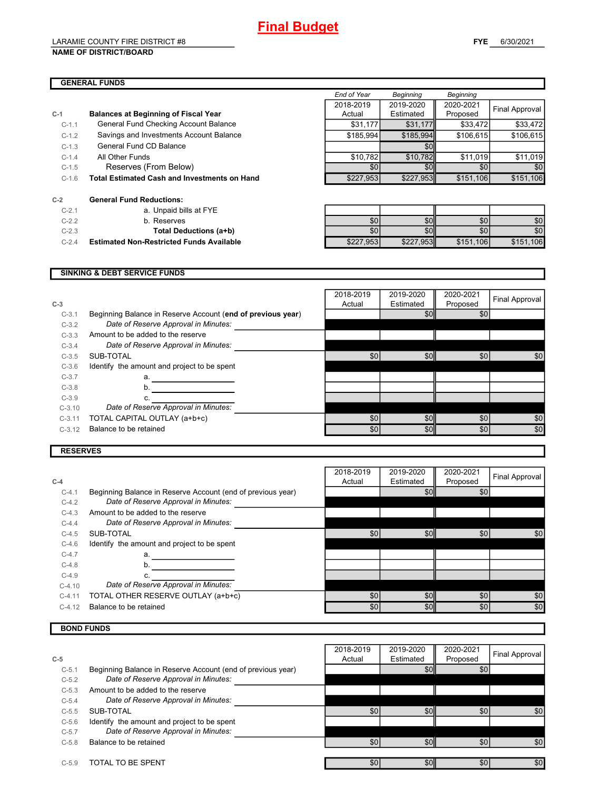#### LARAMIE COUNTY FIRE DISTRICT #8 **NAME OF DISTRICT/BOARD**

|         |                                                     | End of Year | Beginning        | Beginning |                       |
|---------|-----------------------------------------------------|-------------|------------------|-----------|-----------------------|
|         |                                                     | 2018-2019   | 2019-2020        | 2020-2021 |                       |
| $C-1$   | <b>Balances at Beginning of Fiscal Year</b>         | Actual      | Estimated        | Proposed  | <b>Final Approval</b> |
| $C-1.1$ | General Fund Checking Account Balance               | \$31,177    | \$31,177         | \$33,472  | \$33,472              |
| $C-1.2$ | Savings and Investments Account Balance             | \$185,994   | \$185,994        | \$106,615 | \$106,615             |
| $C-1.3$ | General Fund CD Balance                             |             | \$0              |           |                       |
| $C-1.4$ | All Other Funds                                     | \$10,782    | \$10,782         | \$11,019  | \$11,019              |
| $C-1.5$ | Reserves (From Below)                               | \$0         | \$0 <sub>l</sub> | \$0       | \$0                   |
| $C-1.6$ | <b>Total Estimated Cash and Investments on Hand</b> | \$227,953   | \$227,953        | \$151,106 | \$151,106             |
| $C-2$   | <b>General Fund Reductions:</b>                     |             |                  |           |                       |
| $C-2.1$ | a. Unpaid bills at FYE                              |             |                  |           |                       |
| $C-2.2$ | b. Reserves                                         | \$0         | \$0              | \$0       | \$0                   |

**C-2.3 Total Deductions (a+b)** 

**C-2.4 Estimated Non-Restricted Funds Available** 

| \$0       |           | \$0       |           |
|-----------|-----------|-----------|-----------|
| \$0       |           | 80'       |           |
| \$227,953 | \$227,953 | \$151,106 | \$151,106 |

#### **SINKING & DEBT SERVICE FUNDS**

| $C-3$    |                                                             | 2018-2019<br>Actual | 2019-2020<br>Estimated | 2020-2021<br>Proposed | Final Approval |
|----------|-------------------------------------------------------------|---------------------|------------------------|-----------------------|----------------|
| $C-3.1$  | Beginning Balance in Reserve Account (end of previous year) |                     | \$0 <sub>l</sub>       | \$0                   |                |
| $C-3.2$  | Date of Reserve Approval in Minutes:                        |                     |                        |                       |                |
| $C-3.3$  | Amount to be added to the reserve                           |                     |                        |                       |                |
| $C-3.4$  | Date of Reserve Approval in Minutes:                        |                     |                        |                       |                |
| $C-3.5$  | SUB-TOTAL                                                   | \$0                 | \$0                    | \$0                   | \$0            |
| $C-3.6$  | Identify the amount and project to be spent                 |                     |                        |                       |                |
| $C-3.7$  | а.                                                          |                     |                        |                       |                |
| $C-3.8$  | b.                                                          |                     |                        |                       |                |
| $C-3.9$  | c.                                                          |                     |                        |                       |                |
| $C-3.10$ | Date of Reserve Approval in Minutes:                        |                     |                        |                       |                |
| $C-3.11$ | TOTAL CAPITAL OUTLAY (a+b+c)                                | \$0                 | \$0                    | \$0                   | \$0            |
| $C-3.12$ | Balance to be retained                                      | \$0                 | \$0                    | \$0                   | \$0            |
|          |                                                             |                     |                        |                       |                |

#### **RESERVES**

| $C-4$    |                                                             | 2018-2019<br>Actual | 2019-2020<br>Estimated | 2020-2021 | Final Approval |
|----------|-------------------------------------------------------------|---------------------|------------------------|-----------|----------------|
|          |                                                             |                     |                        | Proposed  |                |
| $C-4.1$  | Beginning Balance in Reserve Account (end of previous year) |                     | \$0                    | \$0       |                |
| $C-4.2$  | Date of Reserve Approval in Minutes:                        |                     |                        |           |                |
| $C-4.3$  | Amount to be added to the reserve                           |                     |                        |           |                |
| $C-4.4$  | Date of Reserve Approval in Minutes:                        |                     |                        |           |                |
| $C-4.5$  | SUB-TOTAL                                                   | \$0                 | \$0                    | \$0       | \$0            |
| $C-4.6$  | Identify the amount and project to be spent                 |                     |                        |           |                |
| $C-4.7$  | а.                                                          |                     |                        |           |                |
| $C-4.8$  | b.                                                          |                     |                        |           |                |
| $C-4.9$  |                                                             |                     |                        |           |                |
| $C-4.10$ | Date of Reserve Approval in Minutes:                        |                     |                        |           |                |
| $C-4.11$ | TOTAL OTHER RESERVE OUTLAY (a+b+c)                          | \$0                 | \$0                    | \$0       | \$0            |
| $C-4.12$ | Balance to be retained                                      | \$0                 | \$0                    | \$0       | \$0            |

#### **BOND FUNDS**

|         |                                                             | 2018-2019        | 2019-2020 | 2020-2021 | Final Approval |
|---------|-------------------------------------------------------------|------------------|-----------|-----------|----------------|
| $C-5$   |                                                             | Actual           | Estimated | Proposed  |                |
| $C-5.1$ | Beginning Balance in Reserve Account (end of previous year) |                  | \$0       | \$0       |                |
| $C-5.2$ | Date of Reserve Approval in Minutes:                        |                  |           |           |                |
| $C-5.3$ | Amount to be added to the reserve                           |                  |           |           |                |
| $C-5.4$ | Date of Reserve Approval in Minutes:                        |                  |           |           |                |
| $C-5.5$ | SUB-TOTAL                                                   | \$0 <sub>1</sub> | \$0       | \$0       | \$0            |
| $C-5.6$ | Identify the amount and project to be spent                 |                  |           |           |                |
| $C-5.7$ | Date of Reserve Approval in Minutes:                        |                  |           |           |                |
| $C-5.8$ | Balance to be retained                                      | \$0              | \$0       | \$0       | \$0            |
|         |                                                             |                  |           |           |                |
| $C-5.9$ | TOTAL TO BE SPENT                                           | \$0              | \$0       | \$0       | \$0            |